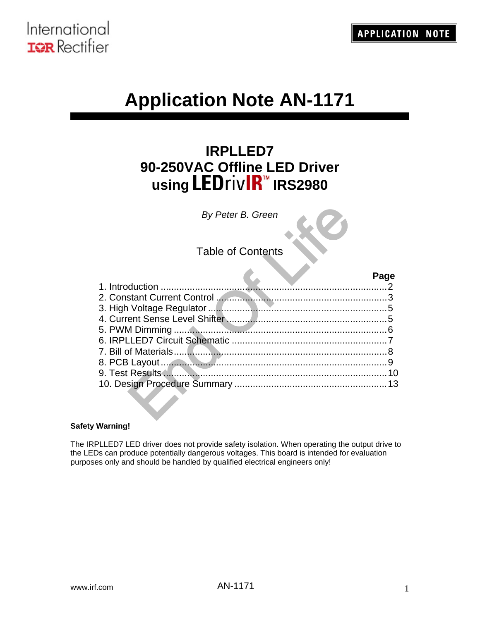

# **Application Note AN-1171**

## **IRPLLED7 90-250VAC Offline LED Driver using LEDrivIR™ IRS2980**

## Table of Contents

| By Peter B. Green        |      |
|--------------------------|------|
| <b>Table of Contents</b> |      |
| 1. Introduction          | Page |
|                          |      |
|                          |      |
|                          |      |
|                          |      |
|                          |      |
|                          |      |
|                          |      |
|                          | 10   |
|                          | 13   |
|                          |      |

#### **Safety Warning!**

The IRPLLED7 LED driver does not provide safety isolation. When operating the output drive to the LEDs can produce potentially dangerous voltages. This board is intended for evaluation purposes only and should be handled by qualified electrical engineers only!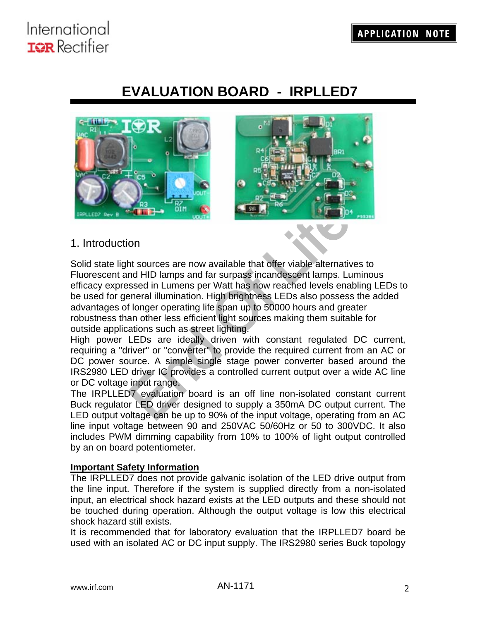## **EVALUATION BOARD - IRPLLED7**



### 1. Introduction

**End of the Control of the Control of the Control of the Control of the control of the control of the control of the control of the control of the control of the control of the control of the control of the control of the** Solid state light sources are now available that offer viable alternatives to Fluorescent and HID lamps and far surpass incandescent lamps. Luminous efficacy expressed in Lumens per Watt has now reached levels enabling LEDs to be used for general illumination. High brightness LEDs also possess the added advantages of longer operating life span up to 50000 hours and greater robustness than other less efficient light sources making them suitable for outside applications such as street lighting.

High power LEDs are ideally driven with constant regulated DC current, requiring a "driver" or "converter" to provide the required current from an AC or DC power source. A simple single stage power converter based around the IRS2980 LED driver IC provides a controlled current output over a wide AC line or DC voltage input range.

The IRPLLED7 evaluation board is an off line non-isolated constant current Buck regulator LED driver designed to supply a 350mA DC output current. The LED output voltage can be up to 90% of the input voltage, operating from an AC line input voltage between 90 and 250VAC 50/60Hz or 50 to 300VDC. It also includes PWM dimming capability from 10% to 100% of light output controlled by an on board potentiometer.

### **Important Safety Information**

The IRPLLED7 does not provide galvanic isolation of the LED drive output from the line input. Therefore if the system is supplied directly from a non-isolated input, an electrical shock hazard exists at the LED outputs and these should not be touched during operation. Although the output voltage is low this electrical shock hazard still exists.

It is recommended that for laboratory evaluation that the IRPLLED7 board be used with an isolated AC or DC input supply. The IRS2980 series Buck topology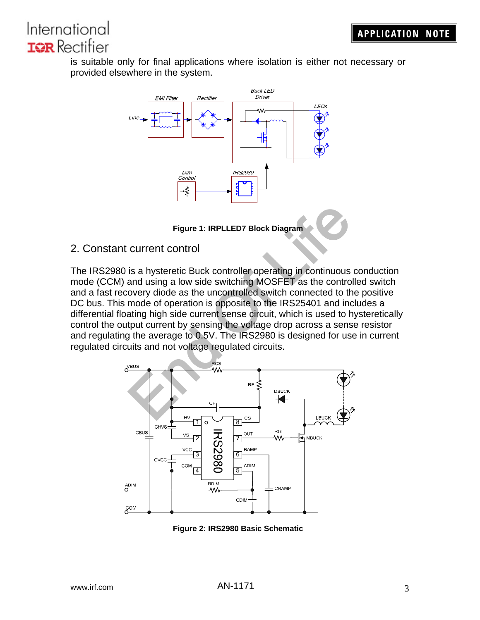is suitable only for final applications where isolation is either not necessary or provided elsewhere in the system.





## 2. Constant current control

Figure 1: IRPLLED7 Block Diagram<br>
current control<br>
is a hysteretic Buck controller operating in continuous co<br>
and using a low side switching MOSFET as the controlle<br>
overy diode as the uncontrolled switch connected to the The IRS2980 is a hysteretic Buck controller operating in continuous conduction mode (CCM) and using a low side switching MOSFET as the controlled switch and a fast recovery diode as the uncontrolled switch connected to the positive DC bus. This mode of operation is opposite to the IRS25401 and includes a differential floating high side current sense circuit, which is used to hysteretically control the output current by sensing the voltage drop across a sense resistor and regulating the average to 0.5V. The IRS2980 is designed for use in current regulated circuits and not voltage regulated circuits.



**Figure 2: IRS2980 Basic Schematic**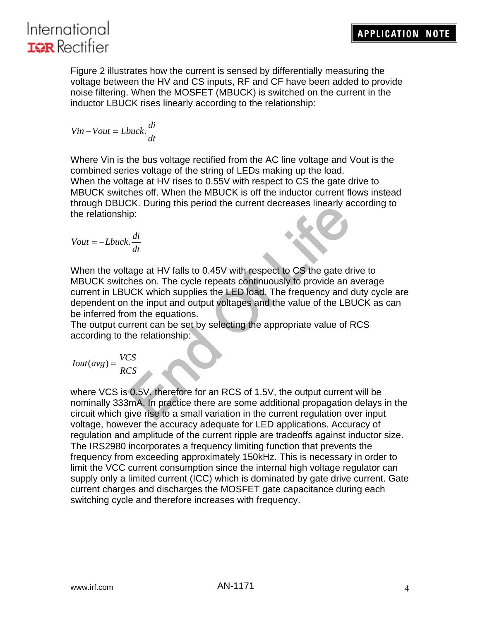



Figure 2 illustrates how the current is sensed by differentially measuring the voltage between the HV and CS inputs, RF and CF have been added to provide noise filtering. When the MOSFET (MBUCK) is switched on the current in the inductor LBUCK rises linearly according to the relationship:

$$
Vin- Vout=Lbuck.\frac{di}{dt}
$$

Where Vin is the bus voltage rectified from the AC line voltage and Vout is the combined series voltage of the string of LEDs making up the load. When the voltage at HV rises to 0.55V with respect to CS the gate drive to MBUCK switches off. When the MBUCK is off the inductor current flows instead through DBUCK. During this period the current decreases linearly according to the relationship:

$$
Vout = -Lbuck.\frac{di}{dt}
$$

of the same of the calibration of the current discusses include the set of the gate drive<br>thes on. The cycle repeats continuously to provide an ave<br>CK which supplies the LED load. The frequency and dult<br>the input and outp When the voltage at HV falls to 0.45V with respect to CS the gate drive to MBUCK switches on. The cycle repeats continuously to provide an average current in LBUCK which supplies the LED load. The frequency and duty cycle are dependent on the input and output voltages and the value of the LBUCK as can be inferred from the equations.

The output current can be set by selecting the appropriate value of RCS according to the relationship:

$$
Iout(avg) = \frac{VCS}{RCS}
$$

where VCS is 0.5V, therefore for an RCS of 1.5V, the output current will be nominally 333mA. In practice there are some additional propagation delays in the circuit which give rise to a small variation in the current regulation over input voltage, however the accuracy adequate for LED applications. Accuracy of regulation and amplitude of the current ripple are tradeoffs against inductor size. The IRS2980 incorporates a frequency limiting function that prevents the frequency from exceeding approximately 150kHz. This is necessary in order to limit the VCC current consumption since the internal high voltage regulator can supply only a limited current (ICC) which is dominated by gate drive current. Gate current charges and discharges the MOSFET gate capacitance during each switching cycle and therefore increases with frequency.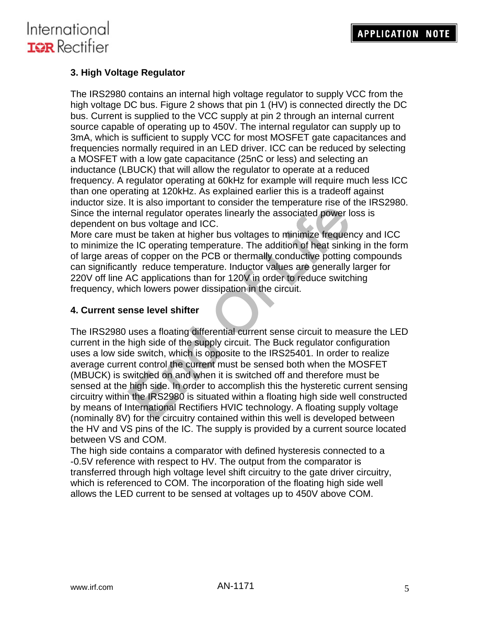## **3. High Voltage Regulator**

The IRS2980 contains an internal high voltage regulator to supply VCC from the high voltage DC bus. Figure 2 shows that pin 1 (HV) is connected directly the DC bus. Current is supplied to the VCC supply at pin 2 through an internal current source capable of operating up to 450V. The internal regulator can supply up to 3mA, which is sufficient to supply VCC for most MOSFET gate capacitances and frequencies normally required in an LED driver. ICC can be reduced by selecting a MOSFET with a low gate capacitance (25nC or less) and selecting an inductance (LBUCK) that will allow the regulator to operate at a reduced frequency. A regulator operating at 60kHz for example will require much less ICC than one operating at 120kHz. As explained earlier this is a tradeoff against inductor size. It is also important to consider the temperature rise of the IRS2980. Since the internal regulator operates linearly the associated power loss is dependent on bus voltage and ICC.

More care must be taken at higher bus voltages to minimize frequency and ICC to minimize the IC operating temperature. The addition of heat sinking in the form of large areas of copper on the PCB or thermally conductive potting compounds can significantly reduce temperature. Inductor values are generally larger for 220V off line AC applications than for 120V in order to reduce switching frequency, which lowers power dissipation in the circuit.

### **4. Current sense level shifter**

From the complete that sums the complete of the circuity contained the circuity of the circuity of the circuit<br>That is equilator operates linearly the associated power loss<br>bus voltage and ICC.<br>So the taken at higher bus v The IRS2980 uses a floating differential current sense circuit to measure the LED current in the high side of the supply circuit. The Buck regulator configuration uses a low side switch, which is opposite to the IRS25401. In order to realize average current control the current must be sensed both when the MOSFET (MBUCK) is switched on and when it is switched off and therefore must be sensed at the high side. In order to accomplish this the hysteretic current sensing circuitry within the IRS2980 is situated within a floating high side well constructed by means of International Rectifiers HVIC technology. A floating supply voltage (nominally 8V) for the circuitry contained within this well is developed between the HV and VS pins of the IC. The supply is provided by a current source located between VS and COM.

The high side contains a comparator with defined hysteresis connected to a -0.5V reference with respect to HV. The output from the comparator is transferred through high voltage level shift circuitry to the gate driver circuitry, which is referenced to COM. The incorporation of the floating high side well allows the LED current to be sensed at voltages up to 450V above COM.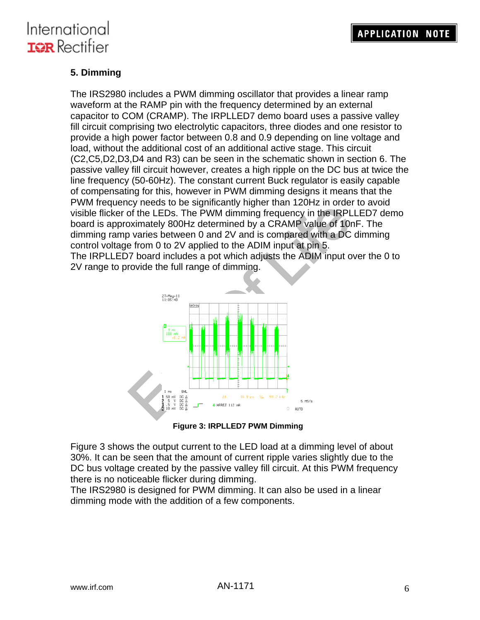## **5. Dimming**

The IRS2980 includes a PWM dimming oscillator that provides a linear ramp waveform at the RAMP pin with the frequency determined by an external capacitor to COM (CRAMP). The IRPLLED7 demo board uses a passive valley fill circuit comprising two electrolytic capacitors, three diodes and one resistor to provide a high power factor between 0.8 and 0.9 depending on line voltage and load, without the additional cost of an additional active stage. This circuit (C2,C5,D2,D3,D4 and R3) can be seen in the schematic shown in section 6. The passive valley fill circuit however, creates a high ripple on the DC bus at twice the line frequency (50-60Hz). The constant current Buck regulator is easily capable of compensating for this, however in PWM dimming designs it means that the PWM frequency needs to be significantly higher than 120Hz in order to avoid visible flicker of the LEDs. The PWM dimming frequency in the IRPLLED7 demo board is approximately 800Hz determined by a CRAMP value of 10nF. The dimming ramp varies between 0 and 2V and is compared with a DC dimming control voltage from 0 to 2V applied to the ADIM input at pin 5. The IRPLLED7 board includes a pot which adjusts the ADIM input over the 0 to

2V range to provide the full range of dimming.



**Figure 3: IRPLLED7 PWM Dimming** 

Figure 3 shows the output current to the LED load at a dimming level of about 30%. It can be seen that the amount of current ripple varies slightly due to the DC bus voltage created by the passive valley fill circuit. At this PWM frequency there is no noticeable flicker during dimming.

The IRS2980 is designed for PWM dimming. It can also be used in a linear dimming mode with the addition of a few components.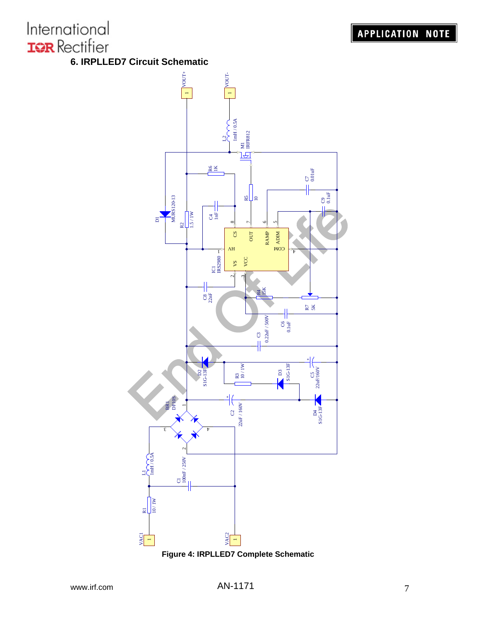**6. IRPLLED7 Circuit Schematic** 



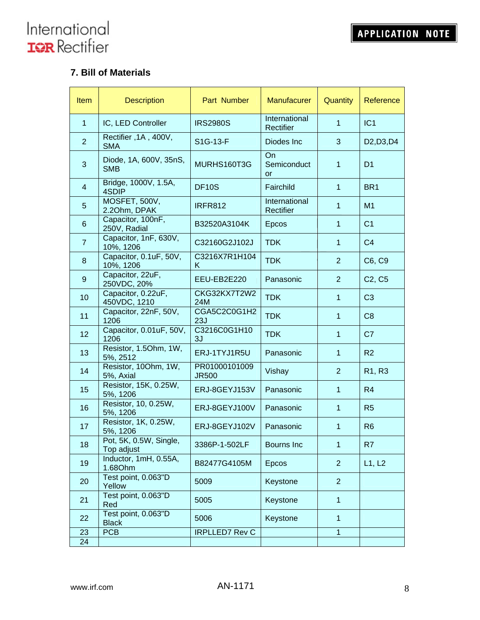## **7. Bill of Materials**

| Item                    | <b>Description</b>                   | Part Number                   | <b>Manufacurer</b>         | Quantity       | Reference                                        |
|-------------------------|--------------------------------------|-------------------------------|----------------------------|----------------|--------------------------------------------------|
| $\mathbf{1}$            | IC, LED Controller                   | <b>IRS2980S</b>               | International<br>Rectifier | $\mathbf{1}$   | IC1                                              |
| $\overline{2}$          | Rectifier , 1A, 400V,<br><b>SMA</b>  | S1G-13-F                      | Diodes Inc                 | 3              | D <sub>2</sub> , D <sub>3</sub> , D <sub>4</sub> |
| 3                       | Diode, 1A, 600V, 35nS,<br><b>SMB</b> | MURHS160T3G                   | On<br>Semiconduct<br>or    | $\mathbf{1}$   | D <sub>1</sub>                                   |
| $\overline{\mathbf{4}}$ | Bridge, 1000V, 1.5A,<br>4SDIP        | <b>DF10S</b>                  | Fairchild                  | $\mathbf{1}$   | BR <sub>1</sub>                                  |
| 5                       | MOSFET, 500V,<br>2.20hm, DPAK        | <b>IRFR812</b>                | International<br>Rectifier | $\mathbf{1}$   | M1                                               |
| 6                       | Capacitor, 100nF,<br>250V, Radial    | B32520A3104K                  | Epcos                      | $\mathbf{1}$   | C <sub>1</sub>                                   |
| $\overline{7}$          | Capacitor, 1nF, 630V,<br>10%, 1206   | C32160G2J102J                 | <b>TDK</b>                 | $\mathbf 1$    | C <sub>4</sub>                                   |
| 8                       | Capacitor, 0.1uF, 50V,<br>10%, 1206  | C3216X7R1H104<br>K            | <b>TDK</b>                 | $\overline{2}$ | C6, C9                                           |
| $\boldsymbol{9}$        | Capacitor, 22uF,<br>250VDC, 20%      | EEU-EB2E220                   | Panasonic                  | $\overline{2}$ | C <sub>2</sub> , C <sub>5</sub>                  |
| 10                      | Capacitor, 0.22uF,<br>450VDC, 1210   | CKG32KX7T2W2<br>24M           | <b>TDK</b>                 | $\mathbf{1}$   | C <sub>3</sub>                                   |
| 11                      | Capacitor, 22nF, 50V,<br>1206        | CGA5C2C0G1H2<br>23J           | <b>TDK</b>                 | $\mathbf{1}$   | C <sub>8</sub>                                   |
| 12                      | Capacitor, 0.01uF, 50V,<br>1206      | C3216C0G1H10<br>3J            | <b>TDK</b>                 | $\mathbf{1}$   | C <sub>7</sub>                                   |
| 13                      | Resistor, 1.5Ohm, 1W,<br>5%, 2512    | ERJ-1TYJ1R5U                  | Panasonic                  | $\mathbf{1}$   | R <sub>2</sub>                                   |
| 14                      | Resistor, 100hm, 1W,<br>5%, Axial    | PR01000101009<br><b>JR500</b> | Vishay                     | $\overline{2}$ | R1, R3                                           |
| 15                      | Resistor, 15K, 0.25W,<br>5%, 1206    | ERJ-8GEYJ153V                 | Panasonic                  | $\mathbf{1}$   | R4                                               |
| 16                      | Resistor, 10, 0.25W,<br>5%, 1206     | ERJ-8GEYJ100V                 | Panasonic                  | $\mathbf{1}$   | R <sub>5</sub>                                   |
| 17                      | Resistor, 1K, 0.25W,<br>5%, 1206     | ERJ-8GEYJ102V                 | Panasonic                  | $\mathbf{1}$   | R <sub>6</sub>                                   |
| 18                      | Pot, 5K, 0.5W, Single,<br>Top adjust | 3386P-1-502LF                 | Bourns Inc                 | 1              | R7                                               |
| 19                      | Inductor, 1mH, 0.55A,<br>1.68Ohm     | B82477G4105M                  | Epcos                      | $\overline{2}$ | L1, L2                                           |
| 20                      | Test point, 0.063"D<br>Yellow        | 5009                          | Keystone                   | $\overline{2}$ |                                                  |
| 21                      | Test point, 0.063"D<br>Red           | 5005                          | Keystone                   | $\mathbf{1}$   |                                                  |
| 22                      | Test point, 0.063"D<br><b>Black</b>  | 5006                          | Keystone                   | $\mathbf{1}$   |                                                  |
| 23<br>24                | <b>PCB</b>                           | <b>IRPLLED7 Rev C</b>         |                            | $\mathbf{1}$   |                                                  |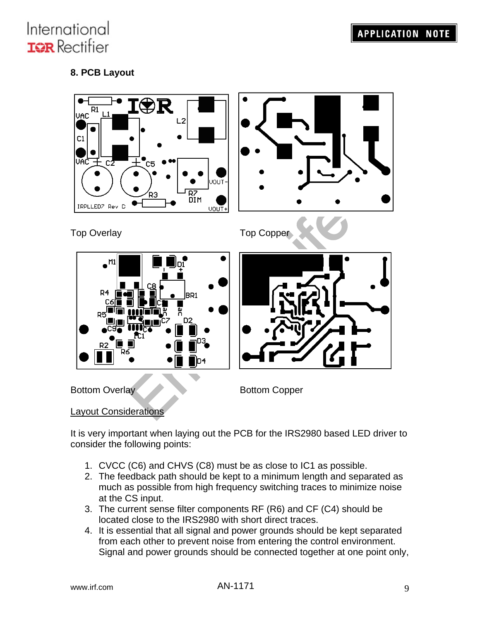## **8. PCB Layout**



It is very important when laying out the PCB for the IRS2980 based LED driver to consider the following points:

- 1. CVCC (C6) and CHVS (C8) must be as close to IC1 as possible.
- 2. The feedback path should be kept to a minimum length and separated as much as possible from high frequency switching traces to minimize noise at the CS input.
- 3. The current sense filter components RF (R6) and CF (C4) should be located close to the IRS2980 with short direct traces.
- 4. It is essential that all signal and power grounds should be kept separated from each other to prevent noise from entering the control environment. Signal and power grounds should be connected together at one point only,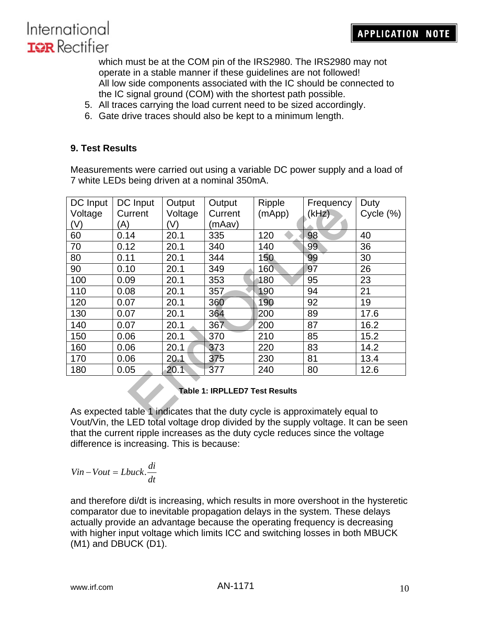which must be at the COM pin of the IRS2980. The IRS2980 may not operate in a stable manner if these guidelines are not followed! All low side components associated with the IC should be connected to the IC signal ground (COM) with the shortest path possible.

- 5. All traces carrying the load current need to be sized accordingly.
- 6. Gate drive traces should also be kept to a minimum length.

### **9. Test Results**

Measurements were carried out using a variable DC power supply and a load of 7 white LEDs being driven at a nominal 350mA.

| DC Input                                                                                                             | DC Input | Output  | Output  | <b>Ripple</b> | Frequency | Duty      |
|----------------------------------------------------------------------------------------------------------------------|----------|---------|---------|---------------|-----------|-----------|
| Voltage                                                                                                              | Current  | Voltage | Current | (mApp)        | (kHz)     | Cycle (%) |
| (V)                                                                                                                  | 'A)      | 'V)     | (mAav)  |               |           |           |
| 60                                                                                                                   | 0.14     | 20.1    | 335     | 120           | 98        | 40        |
| 70                                                                                                                   | 0.12     | 20.1    | 340     | 140           | 99        | 36        |
| 80                                                                                                                   | 0.11     | 20.1    | 344     | 150           | 99        | 30        |
| 90                                                                                                                   | 0.10     | 20.1    | 349     | 160           | 97        | 26        |
| 100                                                                                                                  | 0.09     | 20.1    | 353     | 180           | 95        | 23        |
| 110                                                                                                                  | 0.08     | 20.1    | 357     | 190           | 94        | 21        |
| 120                                                                                                                  | 0.07     | 20.1    | 360     | 190           | 92        | 19        |
| 130                                                                                                                  | 0.07     | 20.1    | 364     | 200           | 89        | 17.6      |
| 140                                                                                                                  | 0.07     | 20.1    | 367     | 200           | 87        | 16.2      |
| 150                                                                                                                  | 0.06     | 20.1    | 370     | 210           | 85        | 15.2      |
| 160                                                                                                                  | 0.06     | 20.1    | 373     | 220           | 83        | 14.2      |
| 170                                                                                                                  | 0.06     | 20.1    | 375     | 230           | 81        | 13.4      |
| 180                                                                                                                  | 0.05     | 20.1    | 377     | 240           | 80        | 12.6      |
| <b>Table 1: IRPLLED7 Test Results</b><br>As expected table 1 indicates that the duty cycle is approximately equal to |          |         |         |               |           |           |
|                                                                                                                      |          |         |         |               |           |           |

### **Table 1: IRPLLED7 Test Results**

As expected table 1 indicates that the duty cycle is approximately equal to Vout/Vin, the LED total voltage drop divided by the supply voltage. It can be seen that the current ripple increases as the duty cycle reduces since the voltage difference is increasing. This is because:

$$
Vin-Vout=Lbuck.\frac{di}{dt}
$$

and therefore di/dt is increasing, which results in more overshoot in the hysteretic comparator due to inevitable propagation delays in the system. These delays actually provide an advantage because the operating frequency is decreasing with higher input voltage which limits ICC and switching losses in both MBUCK (M1) and DBUCK (D1).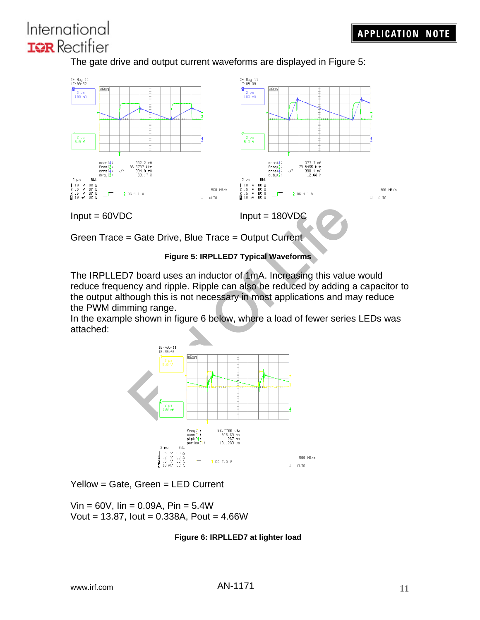The gate drive and output current waveforms are displayed in Figure 5:





The IRPLLED7 board uses an inductor of 1mA. Increasing this value would reduce frequency and ripple. Ripple can also be reduced by adding a capacitor to the output although this is not necessary in most applications and may reduce the PWM dimming range.

In the example shown in figure 6 below, where a load of fewer series LEDs was attached:



Yellow = Gate, Green = LED Current

 $V$ in = 60V,  $I$ in = 0.09A, Pin = 5.4W Vout =  $13.87$ , lout =  $0.338A$ , Pout =  $4.66W$ 

### **Figure 6: IRPLLED7 at lighter load**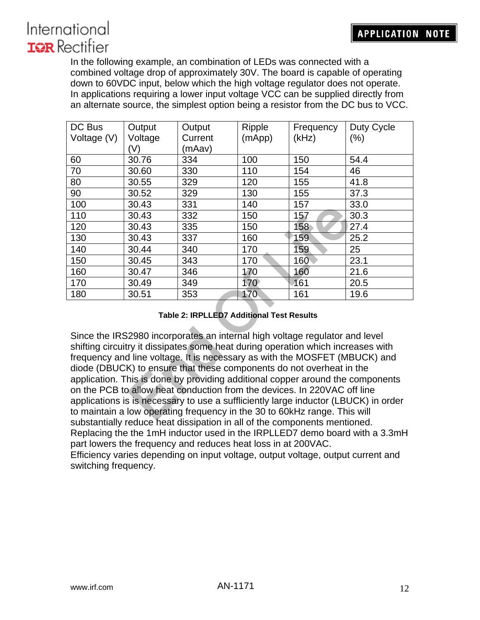In the following example, an combination of LEDs was connected with a combined voltage drop of approximately 30V. The board is capable of operating down to 60VDC input, below which the high voltage regulator does not operate. In applications requiring a lower input voltage VCC can be supplied directly from an alternate source, the simplest option being a resistor from the DC bus to VCC.

| DC Bus                                                                                                                                                          | Output  | Output  | Ripple      | Frequency | Duty Cycle |  |
|-----------------------------------------------------------------------------------------------------------------------------------------------------------------|---------|---------|-------------|-----------|------------|--|
| Voltage (V)                                                                                                                                                     | Voltage | Current | (mApp)      | (kHz)     | $(\% )$    |  |
|                                                                                                                                                                 | (V)     | (mAav)  |             |           |            |  |
| 60                                                                                                                                                              | 30.76   | 334     | 100         | 150       | 54.4       |  |
| 70                                                                                                                                                              | 30.60   | 330     | 110         | 154       | 46         |  |
| 80                                                                                                                                                              | 30.55   | 329     | 120         | 155       | 41.8       |  |
| 90                                                                                                                                                              | 30.52   | 329     | 130         | 155       | 37.3       |  |
| 100                                                                                                                                                             | 30.43   | 331     | 140         | 157       | 33.0       |  |
| 110                                                                                                                                                             | 30.43   | 332     | 150         | 157       | 30.3       |  |
| 120                                                                                                                                                             | 30.43   | 335     | 150         | 158       | 27.4       |  |
| 130                                                                                                                                                             | 30.43   | 337     | 160         | 159       | 25.2       |  |
| 140                                                                                                                                                             | 30.44   | 340     | 170         | 159       | 25         |  |
| 150                                                                                                                                                             | 30.45   | 343     | 170         | 160       | 23.1       |  |
| 160                                                                                                                                                             | 30.47   | 346     | 170         | 160       | 21.6       |  |
| 170                                                                                                                                                             | 30.49   | 349     | $170^\circ$ | 161       | 20.5       |  |
| 180                                                                                                                                                             | 30.51   | 353     | 170         | 161       | 19.6       |  |
|                                                                                                                                                                 |         |         |             |           |            |  |
| <b>Table 2: IRPLLED7 Additional Test Results</b>                                                                                                                |         |         |             |           |            |  |
|                                                                                                                                                                 |         |         |             |           |            |  |
| Since the IRS2980 incorporates an internal high voltage regulator and level                                                                                     |         |         |             |           |            |  |
| shifting circuitry it dissipates some heat during operation which increases with                                                                                |         |         |             |           |            |  |
| frequency and line voltage. It is necessary as with the MOSFET (MBUCK) and                                                                                      |         |         |             |           |            |  |
| diode (DBUCK) to ensure that these components do not overheat in the                                                                                            |         |         |             |           |            |  |
| application. This is done by providing additional copper around the components                                                                                  |         |         |             |           |            |  |
| on the PCB to allow heat conduction from the devices. In 220VAC off line<br>applications is is necessary to use a suffliciently large inductor (LBUCK) in order |         |         |             |           |            |  |
|                                                                                                                                                                 |         |         |             |           |            |  |
| to maintain a low operating frequency in the 30 to 60kHz range. This will                                                                                       |         |         |             |           |            |  |

### **Table 2: IRPLLED7 Additional Test Results**

Since the IRS2980 incorporates an internal high voltage regulator and level shifting circuitry it dissipates some heat during operation which increases with frequency and line voltage. It is necessary as with the MOSFET (MBUCK) and diode (DBUCK) to ensure that these components do not overheat in the application. This is done by providing additional copper around the components on the PCB to allow heat conduction from the devices. In 220VAC off line applications is is necessary to use a suffliciently large inductor (LBUCK) in order to maintain a low operating frequency in the 30 to 60kHz range. This will substantially reduce heat dissipation in all of the components mentioned. Replacing the the 1mH inductor used in the IRPLLED7 demo board with a 3.3mH part lowers the frequency and reduces heat loss in at 200VAC. Efficiency varies depending on input voltage, output voltage, output current and switching frequency.